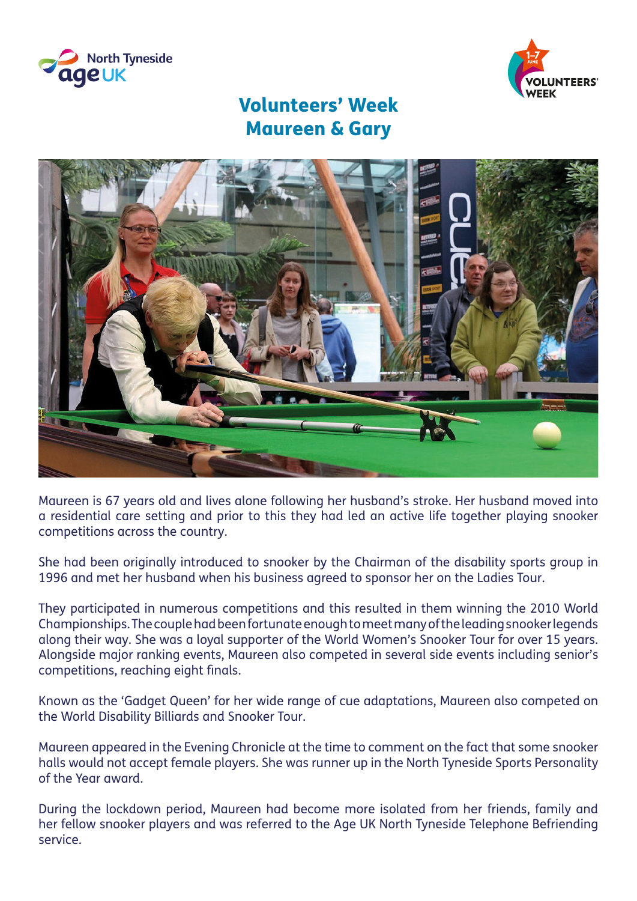



## Volunteers' Week Maureen & Gary



Maureen is 67 years old and lives alone following her husband's stroke. Her husband moved into a residential care setting and prior to this they had led an active life together playing snooker competitions across the country.

She had been originally introduced to snooker by the Chairman of the disability sports group in 1996 and met her husband when his business agreed to sponsor her on the Ladies Tour.

They participated in numerous competitions and this resulted in them winning the 2010 World Championships. The couple had been fortunate enough to meet many of the leading snooker legends along their way. She was a loyal supporter of the World Women's Snooker Tour for over 15 years. Alongside major ranking events, Maureen also competed in several side events including senior's competitions, reaching eight finals.

Known as the 'Gadget Queen' for her wide range of cue adaptations, Maureen also competed on the World Disability Billiards and Snooker Tour.

Maureen appeared in the Evening Chronicle at the time to comment on the fact that some snooker halls would not accept female players. She was runner up in the North Tyneside Sports Personality of the Year award.

During the lockdown period, Maureen had become more isolated from her friends, family and her fellow snooker players and was referred to the Age UK North Tyneside Telephone Befriending service.